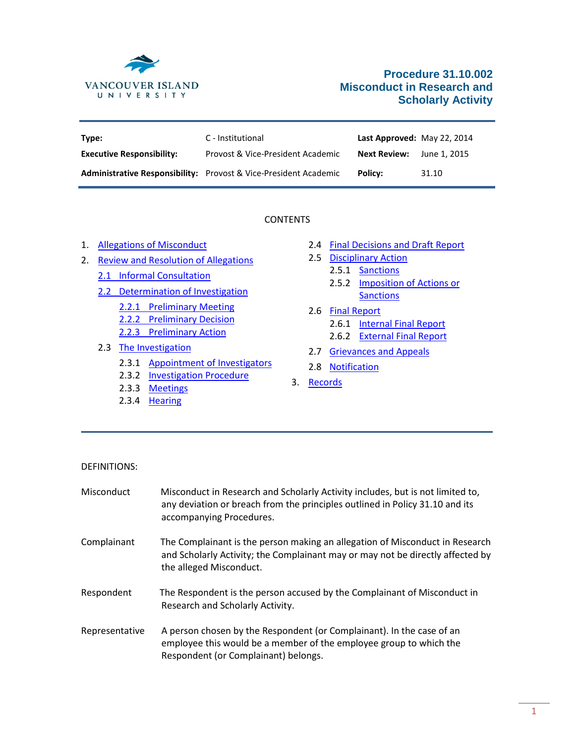

# **Procedure 31.10.002 Misconduct in Research and Scholarly Activity**

| Type:                            | C - Institutional                                                       | Last Approved: May 22, 2014 |              |
|----------------------------------|-------------------------------------------------------------------------|-----------------------------|--------------|
| <b>Executive Responsibility:</b> | Provost & Vice-President Academic                                       | <b>Next Review:</b>         | June 1. 2015 |
|                                  | <b>Administrative Responsibility:</b> Provost & Vice-President Academic | <b>Policy:</b>              | 31.10        |

### CONTENTS

- 1. [Allegations of Misconduct](#page-1-0)
- 2. [Review and Resolution of Allegations](#page-2-0)
	- [2.1 Informal Consultation](#page-2-1)
	- 2.2 [Determination of Investigation](#page-2-2)
		- 2.2.1 [Preliminary Meeting](#page-2-3) 2.2.2 [Preliminary Decision](#page-2-4)
		- 2.2.3 [Preliminary Action](#page-3-0)
	- 2.3 [The Investigation](#page-3-1)
		- 2.3.1 [Appointment of Investigators](#page-3-2)
		- 2.3.2 **[Investigation Procedure](#page-3-3)**
		- 2.3.3 [Meetings](#page-4-0)
		- 2.3.4 [Hearing](#page-4-1)
- 2.4 [Final Decisions and Draft Report](#page-5-0)
- 2.5 [Disciplinary Action](#page-5-1)
	- 2.5.1 [Sanctions](#page-6-0)
	- 2.5.2 [Imposition of Actions or](#page-6-1)  **[Sanctions](#page-6-1)**
- 2.6 [Final Report](#page-6-2)
	- 2.6.1 [Internal Final Report](#page-6-3)
	- 2.6.2 [External Final Report](#page-6-4)
- 2.7 [Grievances and Appeals](#page-7-0)
- 2.8 [Notification](#page-7-1)
- 3. [Records](#page-8-0)

- DEFINITIONS:
- Misconduct Misconduct in Research and Scholarly Activity includes, but is not limited to, any deviation or breach from the principles outlined in Policy 31.10 and its accompanying Procedures. Complainant The Complainant is the person making an allegation of Misconduct in Research and Scholarly Activity; the Complainant may or may not be directly affected by the alleged Misconduct. Respondent The Respondent is the person accused by the Complainant of Misconduct in Research and Scholarly Activity. Representative A person chosen by the Respondent (or Complainant). In the case of an employee this would be a member of the employee group to which the Respondent (or Complainant) belongs.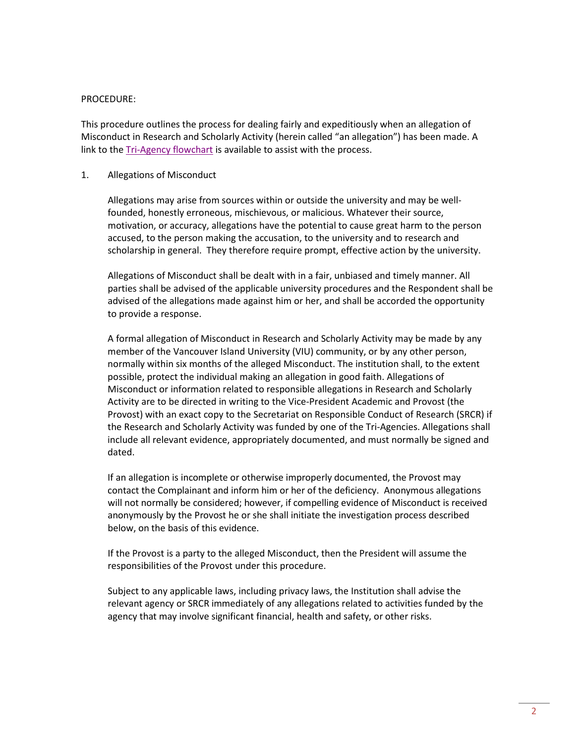#### PROCEDURE:

This procedure outlines the process for dealing fairly and expeditiously when an allegation of Misconduct in Research and Scholarly Activity (herein called "an allegation") has been made. A link to the **Tri-Agency flowchart** is available to assist with the process.

### <span id="page-1-0"></span>1. Allegations of Misconduct

Allegations may arise from sources within or outside the university and may be wellfounded, honestly erroneous, mischievous, or malicious. Whatever their source, motivation, or accuracy, allegations have the potential to cause great harm to the person accused, to the person making the accusation, to the university and to research and scholarship in general. They therefore require prompt, effective action by the university.

Allegations of Misconduct shall be dealt with in a fair, unbiased and timely manner. All parties shall be advised of the applicable university procedures and the Respondent shall be advised of the allegations made against him or her, and shall be accorded the opportunity to provide a response.

A formal allegation of Misconduct in Research and Scholarly Activity may be made by any member of the Vancouver Island University (VIU) community, or by any other person, normally within six months of the alleged Misconduct. The institution shall, to the extent possible, protect the individual making an allegation in good faith. Allegations of Misconduct or information related to responsible allegations in Research and Scholarly Activity are to be directed in writing to the Vice-President Academic and Provost (the Provost) with an exact copy to the Secretariat on Responsible Conduct of Research (SRCR) if the Research and Scholarly Activity was funded by one of the Tri-Agencies. Allegations shall include all relevant evidence, appropriately documented, and must normally be signed and dated.

If an allegation is incomplete or otherwise improperly documented, the Provost may contact the Complainant and inform him or her of the deficiency. Anonymous allegations will not normally be considered; however, if compelling evidence of Misconduct is received anonymously by the Provost he or she shall initiate the investigation process described below, on the basis of this evidence.

If the Provost is a party to the alleged Misconduct, then the President will assume the responsibilities of the Provost under this procedure.

Subject to any applicable laws, including privacy laws, the Institution shall advise the relevant agency or SRCR immediately of any allegations related to activities funded by the agency that may involve significant financial, health and safety, or other risks.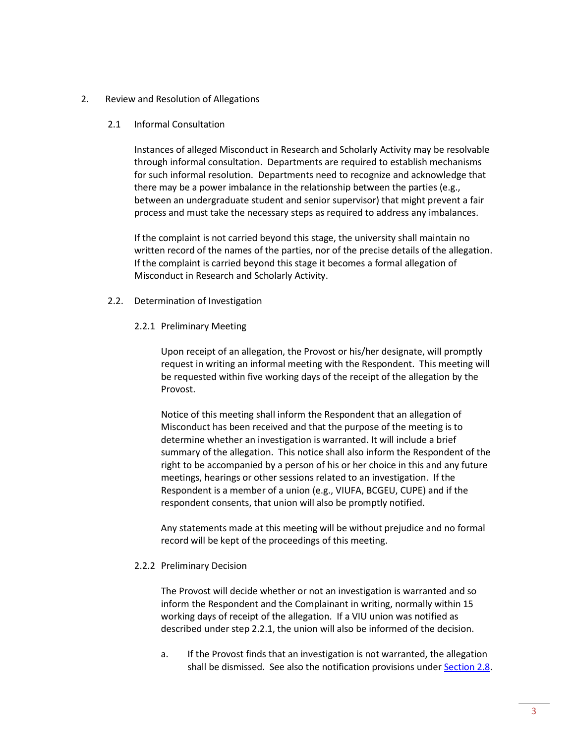### <span id="page-2-1"></span><span id="page-2-0"></span>2. Review and Resolution of Allegations

2.1 Informal Consultation

Instances of alleged Misconduct in Research and Scholarly Activity may be resolvable through informal consultation. Departments are required to establish mechanisms for such informal resolution. Departments need to recognize and acknowledge that there may be a power imbalance in the relationship between the parties (e.g., between an undergraduate student and senior supervisor) that might prevent a fair process and must take the necessary steps as required to address any imbalances.

If the complaint is not carried beyond this stage, the university shall maintain no written record of the names of the parties, nor of the precise details of the allegation. If the complaint is carried beyond this stage it becomes a formal allegation of Misconduct in Research and Scholarly Activity.

- <span id="page-2-3"></span><span id="page-2-2"></span>2.2. Determination of Investigation
	- 2.2.1 Preliminary Meeting

Upon receipt of an allegation, the Provost or his/her designate, will promptly request in writing an informal meeting with the Respondent. This meeting will be requested within five working days of the receipt of the allegation by the Provost.

Notice of this meeting shall inform the Respondent that an allegation of Misconduct has been received and that the purpose of the meeting is to determine whether an investigation is warranted. It will include a brief summary of the allegation. This notice shall also inform the Respondent of the right to be accompanied by a person of his or her choice in this and any future meetings, hearings or other sessions related to an investigation. If the Respondent is a member of a union (e.g., VIUFA, BCGEU, CUPE) and if the respondent consents, that union will also be promptly notified.

Any statements made at this meeting will be without prejudice and no formal record will be kept of the proceedings of this meeting.

#### <span id="page-2-4"></span>2.2.2 Preliminary Decision

The Provost will decide whether or not an investigation is warranted and so inform the Respondent and the Complainant in writing, normally within 15 working days of receipt of the allegation. If a VIU union was notified as described under step 2.2.1, the union will also be informed of the decision.

a. If the Provost finds that an investigation is not warranted, the allegation shall be dismissed. See also the notification provisions under [Section](#page-7-1) 2.8.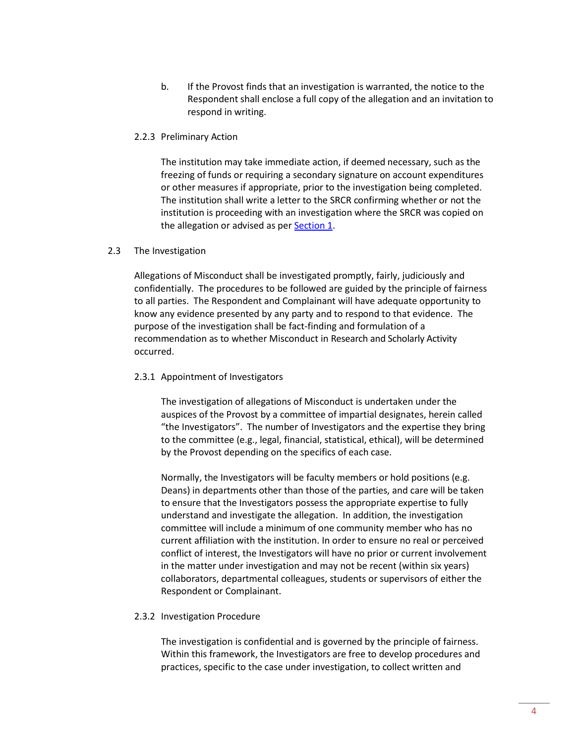b. If the Provost finds that an investigation is warranted, the notice to the Respondent shall enclose a full copy of the allegation and an invitation to respond in writing.

### <span id="page-3-0"></span>2.2.3 Preliminary Action

The institution may take immediate action, if deemed necessary, such as the freezing of funds or requiring a secondary signature on account expenditures or other measures if appropriate, prior to the investigation being completed. The institution shall write a letter to the SRCR confirming whether or not the institution is proceeding with an investigation where the SRCR was copied on the allegation or advised as per **Section 1**.

### <span id="page-3-1"></span>2.3 The Investigation

Allegations of Misconduct shall be investigated promptly, fairly, judiciously and confidentially. The procedures to be followed are guided by the principle of fairness to all parties. The Respondent and Complainant will have adequate opportunity to know any evidence presented by any party and to respond to that evidence. The purpose of the investigation shall be fact-finding and formulation of a recommendation as to whether Misconduct in Research and Scholarly Activity occurred.

### <span id="page-3-2"></span>2.3.1 Appointment of Investigators

The investigation of allegations of Misconduct is undertaken under the auspices of the Provost by a committee of impartial designates, herein called "the Investigators". The number of Investigators and the expertise they bring to the committee (e.g., legal, financial, statistical, ethical), will be determined by the Provost depending on the specifics of each case.

Normally, the Investigators will be faculty members or hold positions (e.g. Deans) in departments other than those of the parties, and care will be taken to ensure that the Investigators possess the appropriate expertise to fully understand and investigate the allegation. In addition, the investigation committee will include a minimum of one community member who has no current affiliation with the institution. In order to ensure no real or perceived conflict of interest, the Investigators will have no prior or current involvement in the matter under investigation and may not be recent (within six years) collaborators, departmental colleagues, students or supervisors of either the Respondent or Complainant.

### <span id="page-3-3"></span>2.3.2 Investigation Procedure

The investigation is confidential and is governed by the principle of fairness. Within this framework, the Investigators are free to develop procedures and practices, specific to the case under investigation, to collect written and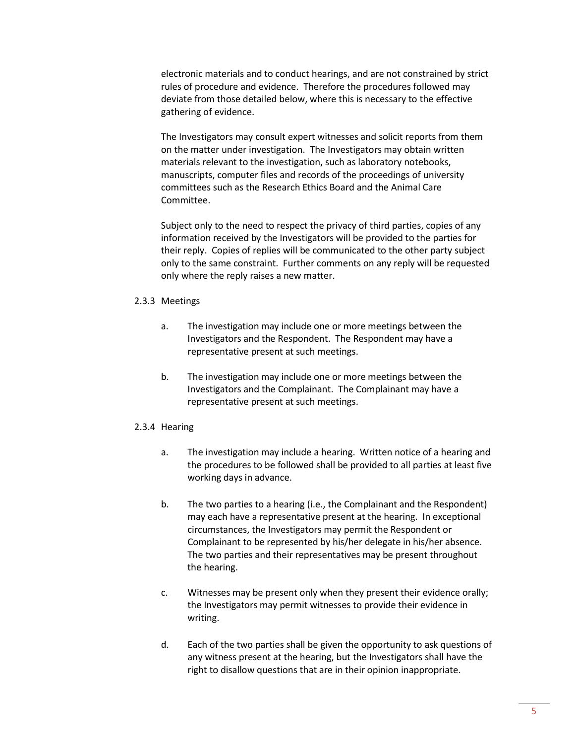electronic materials and to conduct hearings, and are not constrained by strict rules of procedure and evidence. Therefore the procedures followed may deviate from those detailed below, where this is necessary to the effective gathering of evidence.

The Investigators may consult expert witnesses and solicit reports from them on the matter under investigation. The Investigators may obtain written materials relevant to the investigation, such as laboratory notebooks, manuscripts, computer files and records of the proceedings of university committees such as the Research Ethics Board and the Animal Care Committee.

Subject only to the need to respect the privacy of third parties, copies of any information received by the Investigators will be provided to the parties for their reply. Copies of replies will be communicated to the other party subject only to the same constraint. Further comments on any reply will be requested only where the reply raises a new matter.

#### <span id="page-4-0"></span>2.3.3 Meetings

- a. The investigation may include one or more meetings between the Investigators and the Respondent. The Respondent may have a representative present at such meetings.
- b. The investigation may include one or more meetings between the Investigators and the Complainant. The Complainant may have a representative present at such meetings.

#### <span id="page-4-1"></span>2.3.4 Hearing

- a. The investigation may include a hearing. Written notice of a hearing and the procedures to be followed shall be provided to all parties at least five working days in advance.
- b. The two parties to a hearing (i.e., the Complainant and the Respondent) may each have a representative present at the hearing. In exceptional circumstances, the Investigators may permit the Respondent or Complainant to be represented by his/her delegate in his/her absence. The two parties and their representatives may be present throughout the hearing.
- c. Witnesses may be present only when they present their evidence orally; the Investigators may permit witnesses to provide their evidence in writing.
- d. Each of the two parties shall be given the opportunity to ask questions of any witness present at the hearing, but the Investigators shall have the right to disallow questions that are in their opinion inappropriate.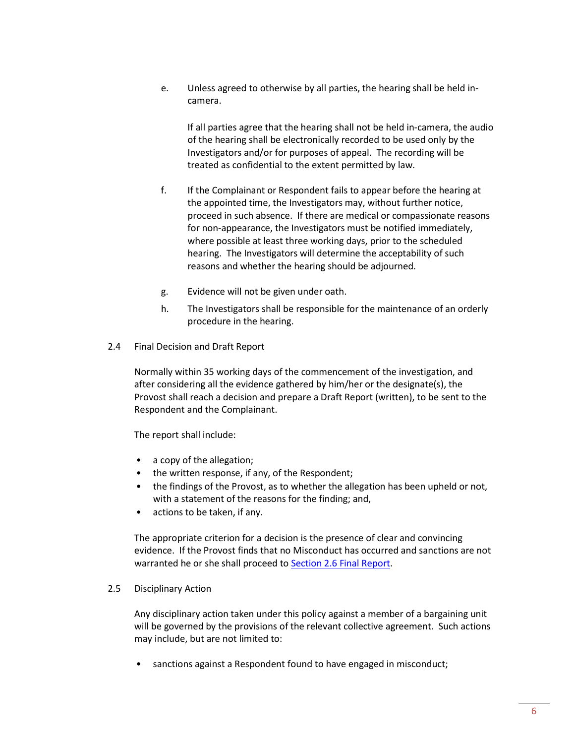e. Unless agreed to otherwise by all parties, the hearing shall be held incamera.

If all parties agree that the hearing shall not be held in-camera, the audio of the hearing shall be electronically recorded to be used only by the Investigators and/or for purposes of appeal. The recording will be treated as confidential to the extent permitted by law.

- f. If the Complainant or Respondent fails to appear before the hearing at the appointed time, the Investigators may, without further notice, proceed in such absence. If there are medical or compassionate reasons for non-appearance, the Investigators must be notified immediately, where possible at least three working days, prior to the scheduled hearing. The Investigators will determine the acceptability of such reasons and whether the hearing should be adjourned.
- g. Evidence will not be given under oath.
- h. The Investigators shall be responsible for the maintenance of an orderly procedure in the hearing.
- <span id="page-5-0"></span>2.4 Final Decision and Draft Report

Normally within 35 working days of the commencement of the investigation, and after considering all the evidence gathered by him/her or the designate(s), the Provost shall reach a decision and prepare a Draft Report (written), to be sent to the Respondent and the Complainant.

The report shall include:

- a copy of the allegation;
- the written response, if any, of the Respondent;
- the findings of the Provost, as to whether the allegation has been upheld or not, with a statement of the reasons for the finding; and,
- actions to be taken, if any.

The appropriate criterion for a decision is the presence of clear and convincing evidence. If the Provost finds that no Misconduct has occurred and sanctions are not warranted he or she shall proceed to **Section 2.6 Final Report**.

<span id="page-5-1"></span>2.5 Disciplinary Action

Any disciplinary action taken under this policy against a member of a bargaining unit will be governed by the provisions of the relevant collective agreement. Such actions may include, but are not limited to:

• sanctions against a Respondent found to have engaged in misconduct;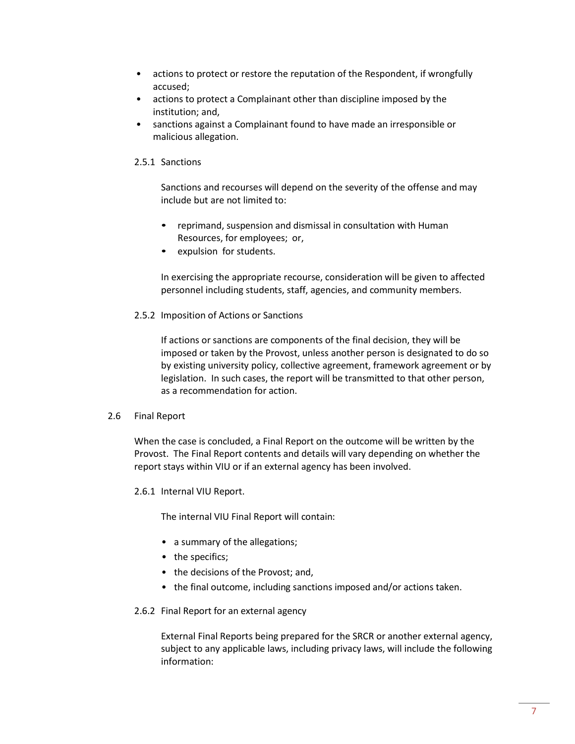- actions to protect or restore the reputation of the Respondent, if wrongfully accused;
- actions to protect a Complainant other than discipline imposed by the institution; and,
- sanctions against a Complainant found to have made an irresponsible or malicious allegation.

### <span id="page-6-0"></span>2.5.1 Sanctions

Sanctions and recourses will depend on the severity of the offense and may include but are not limited to:

- reprimand, suspension and dismissal in consultation with Human Resources, for employees; or,
- expulsion for students.

In exercising the appropriate recourse, consideration will be given to affected personnel including students, staff, agencies, and community members.

### <span id="page-6-1"></span>2.5.2 Imposition of Actions or Sanctions

If actions or sanctions are components of the final decision, they will be imposed or taken by the Provost, unless another person is designated to do so by existing university policy, collective agreement, framework agreement or by legislation. In such cases, the report will be transmitted to that other person, as a recommendation for action.

### <span id="page-6-2"></span>2.6 Final Report

When the case is concluded, a Final Report on the outcome will be written by the Provost. The Final Report contents and details will vary depending on whether the report stays within VIU or if an external agency has been involved.

<span id="page-6-3"></span>2.6.1 Internal VIU Report.

The internal VIU Final Report will contain:

- a summary of the allegations;
- the specifics;
- the decisions of the Provost; and,
- <span id="page-6-4"></span>• the final outcome, including sanctions imposed and/or actions taken.

### 2.6.2 Final Report for an external agency

External Final Reports being prepared for the SRCR or another external agency, subject to any applicable laws, including privacy laws, will include the following information: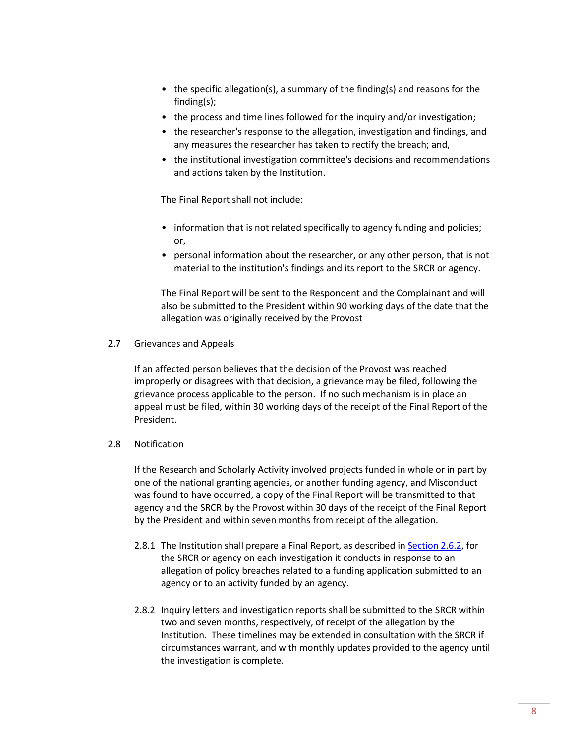- the specific allegation(s), a summary of the finding(s) and reasons for the finding(s);
- the process and time lines followed for the inquiry and/or investigation;
- the researcher's response to the allegation, investigation and findings, and any measures the researcher has taken to rectify the breach; and,
- the institutional investigation committee's decisions and recommendations and actions taken by the Institution.

The Final Report shall not include:

- information that is not related specifically to agency funding and policies; or,
- personal information about the researcher, or any other person, that is not material to the institution's findings and its report to the SRCR or agency.

The Final Report will be sent to the Respondent and the Complainant and will also be submitted to the President within 90 working days of the date that the allegation was originally received by the Provost

<span id="page-7-0"></span>2.7 Grievances and Appeals

If an affected person believes that the decision of the Provost was reached improperly or disagrees with that decision, a grievance may be filed, following the grievance process applicable to the person. If no such mechanism is in place an appeal must be filed, within 30 working days of the receipt of the Final Report of the President.

## <span id="page-7-1"></span>2.8 Notification

If the Research and Scholarly Activity involved projects funded in whole or in part by one of the national granting agencies, or another funding agency, and Misconduct was found to have occurred, a copy of the Final Report will be transmitted to that agency and the SRCR by the Provost within 30 days of the receipt of the Final Report by the President and within seven months from receipt of the allegation.

- 2.8.1 The Institution shall prepare a Final Report, as described in [Section](#page-6-4) 2.6.2, for the SRCR or agency on each investigation it conducts in response to an allegation of policy breaches related to a funding application submitted to an agency or to an activity funded by an agency.
- 2.8.2 Inquiry letters and investigation reports shall be submitted to the SRCR within two and seven months, respectively, of receipt of the allegation by the Institution. These timelines may be extended in consultation with the SRCR if circumstances warrant, and with monthly updates provided to the agency until the investigation is complete.